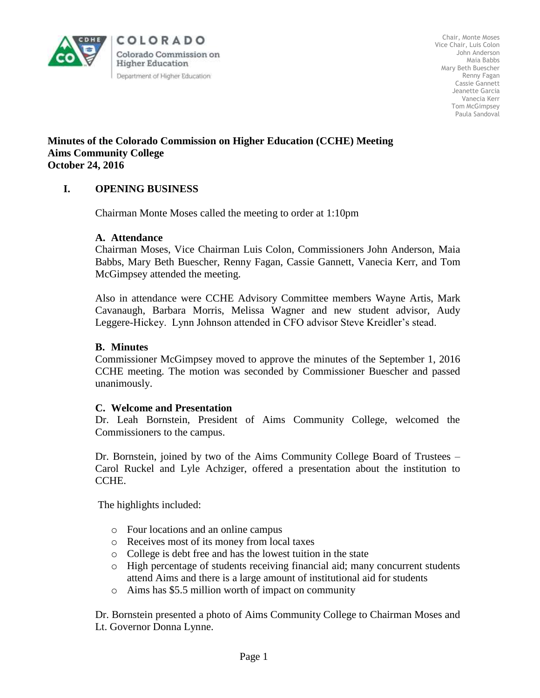

COLORADO Colorado Commission on **Higher Education** Department of Higher Education

Chair, Monte Moses Vice Chair, Luis Colon John Anderson Maia Babbs Mary Beth Buescher Renny Fagan Cassie Gannett Jeanette Garcia Vanecia Kerr Tom McGimpsey Paula Sandoval

### **Minutes of the Colorado Commission on Higher Education (CCHE) Meeting Aims Community College October 24, 2016**

# **I. OPENING BUSINESS**

Chairman Monte Moses called the meeting to order at 1:10pm

### **A. Attendance**

Chairman Moses, Vice Chairman Luis Colon, Commissioners John Anderson, Maia Babbs, Mary Beth Buescher, Renny Fagan, Cassie Gannett, Vanecia Kerr, and Tom McGimpsey attended the meeting.

Also in attendance were CCHE Advisory Committee members Wayne Artis, Mark Cavanaugh, Barbara Morris, Melissa Wagner and new student advisor, Audy Leggere-Hickey. Lynn Johnson attended in CFO advisor Steve Kreidler's stead.

#### **B. Minutes**

Commissioner McGimpsey moved to approve the minutes of the September 1, 2016 CCHE meeting. The motion was seconded by Commissioner Buescher and passed unanimously.

#### **C. Welcome and Presentation**

Dr. Leah Bornstein, President of Aims Community College, welcomed the Commissioners to the campus.

 Dr. Bornstein, joined by two of the Aims Community College Board of Trustees – Carol Ruckel and Lyle Achziger, offered a presentation about the institution to CCHE.

The highlights included:

- o Four locations and an online campus
- o Receives most of its money from local taxes
- o College is debt free and has the lowest tuition in the state
- o High percentage of students receiving financial aid; many concurrent students attend Aims and there is a large amount of institutional aid for students
- o Aims has \$5.5 million worth of impact on community

Dr. Bornstein presented a photo of Aims Community College to Chairman Moses and Lt. Governor Donna Lynne.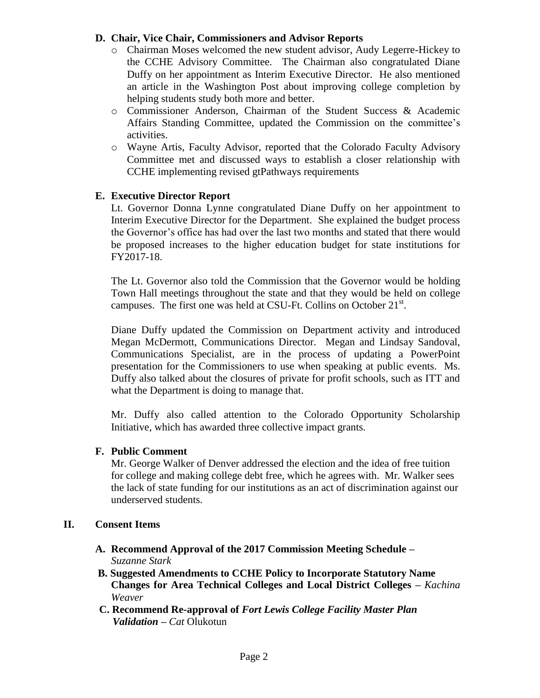### **D. Chair, Vice Chair, Commissioners and Advisor Reports**

- o Chairman Moses welcomed the new student advisor, Audy Legerre-Hickey to the CCHE Advisory Committee. The Chairman also congratulated Diane Duffy on her appointment as Interim Executive Director. He also mentioned an article in the Washington Post about improving college completion by helping students study both more and better.
- o Commissioner Anderson, Chairman of the Student Success & Academic Affairs Standing Committee, updated the Commission on the committee's activities.
- o Wayne Artis, Faculty Advisor, reported that the Colorado Faculty Advisory Committee met and discussed ways to establish a closer relationship with CCHE implementing revised gtPathways requirements

## **E. Executive Director Report**

Lt. Governor Donna Lynne congratulated Diane Duffy on her appointment to Interim Executive Director for the Department. She explained the budget process the Governor's office has had over the last two months and stated that there would be proposed increases to the higher education budget for state institutions for FY2017-18.

The Lt. Governor also told the Commission that the Governor would be holding Town Hall meetings throughout the state and that they would be held on college campuses. The first one was held at CSU-Ft. Collins on October  $21^{st}$ .

Diane Duffy updated the Commission on Department activity and introduced Megan McDermott, Communications Director. Megan and Lindsay Sandoval, Communications Specialist, are in the process of updating a PowerPoint presentation for the Commissioners to use when speaking at public events. Ms. Duffy also talked about the closures of private for profit schools, such as ITT and what the Department is doing to manage that.

Mr. Duffy also called attention to the Colorado Opportunity Scholarship Initiative, which has awarded three collective impact grants.

## **F. Public Comment**

Mr. George Walker of Denver addressed the election and the idea of free tuition for college and making college debt free, which he agrees with. Mr. Walker sees the lack of state funding for our institutions as an act of discrimination against our underserved students.

#### **II. Consent Items**

- **A. Recommend Approval of the 2017 Commission Meeting Schedule –** *Suzanne Stark*
- **B. Suggested Amendments to CCHE Policy to Incorporate Statutory Name Changes for Area Technical Colleges and Local District Colleges** *– Kachina Weaver*
- **C. Recommend Re-approval of** *Fort Lewis College Facility Master Plan Validation – Cat* Olukotun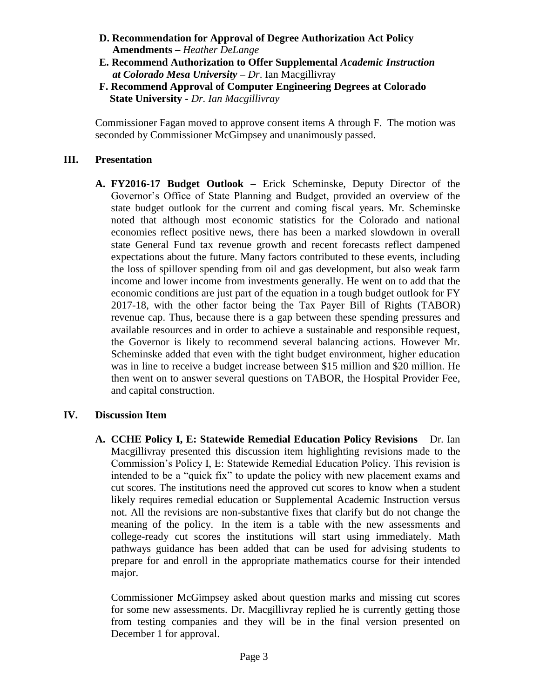- **D. Recommendation for Approval of Degree Authorization Act Policy Amendments –** *Heather DeLange*
- **E. Recommend Authorization to Offer Supplemental** *Academic Instruction at Colorado Mesa University – Dr*. Ian Macgillivray
- **F. Recommend Approval of Computer Engineering Degrees at Colorado State University -** *Dr. Ian Macgillivray*

Commissioner Fagan moved to approve consent items A through F. The motion was seconded by Commissioner McGimpsey and unanimously passed.

## **III. Presentation**

**A. FY2016-17 Budget Outlook –** Erick Scheminske, Deputy Director of the Governor's Office of State Planning and Budget, provided an overview of the state budget outlook for the current and coming fiscal years. Mr. Scheminske noted that although most economic statistics for the Colorado and national economies reflect positive news, there has been a marked slowdown in overall state General Fund tax revenue growth and recent forecasts reflect dampened expectations about the future. Many factors contributed to these events, including the loss of spillover spending from oil and gas development, but also weak farm income and lower income from investments generally. He went on to add that the economic conditions are just part of the equation in a tough budget outlook for FY 2017-18, with the other factor being the Tax Payer Bill of Rights (TABOR) revenue cap. Thus, because there is a gap between these spending pressures and available resources and in order to achieve a sustainable and responsible request, the Governor is likely to recommend several balancing actions. However Mr. Scheminske added that even with the tight budget environment, higher education was in line to receive a budget increase between \$15 million and \$20 million. He then went on to answer several questions on TABOR, the Hospital Provider Fee, and capital construction.

## **IV. Discussion Item**

**A. CCHE Policy I, E: Statewide Remedial Education Policy Revisions** – Dr. Ian Macgillivray presented this discussion item highlighting revisions made to the Commission's Policy I, E: Statewide Remedial Education Policy. This revision is intended to be a "quick fix" to update the policy with new placement exams and cut scores. The institutions need the approved cut scores to know when a student likely requires remedial education or Supplemental Academic Instruction versus not. All the revisions are non-substantive fixes that clarify but do not change the meaning of the policy. In the item is a table with the new assessments and college-ready cut scores the institutions will start using immediately. Math pathways guidance has been added that can be used for advising students to prepare for and enroll in the appropriate mathematics course for their intended major.

Commissioner McGimpsey asked about question marks and missing cut scores for some new assessments. Dr. Macgillivray replied he is currently getting those from testing companies and they will be in the final version presented on December 1 for approval.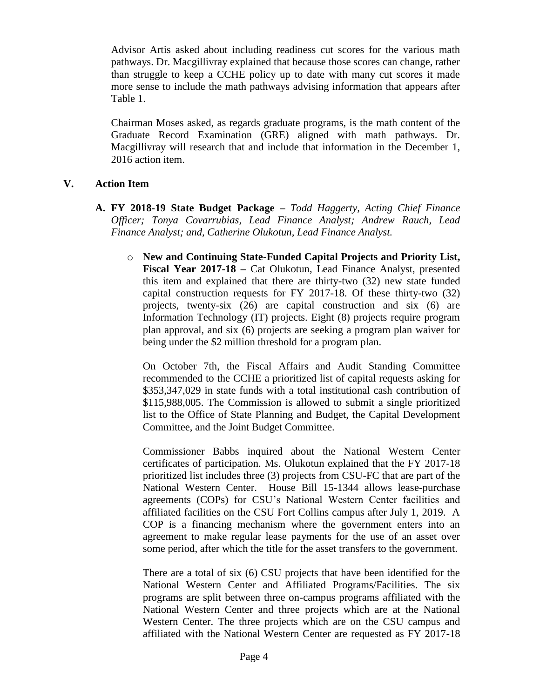Advisor Artis asked about including readiness cut scores for the various math pathways. Dr. Macgillivray explained that because those scores can change, rather than struggle to keep a CCHE policy up to date with many cut scores it made more sense to include the math pathways advising information that appears after Table 1.

Chairman Moses asked, as regards graduate programs, is the math content of the Graduate Record Examination (GRE) aligned with math pathways. Dr. Macgillivray will research that and include that information in the December 1, 2016 action item.

### **V. Action Item**

- **A. FY 2018-19 State Budget Package** *– Todd Haggerty, Acting Chief Finance Officer; Tonya Covarrubias, Lead Finance Analyst; Andrew Rauch, Lead Finance Analyst; and, Catherine Olukotun, Lead Finance Analyst.*
	- o **New and Continuing State-Funded Capital Projects and Priority List, Fiscal Year 2017-18 –** Cat Olukotun, Lead Finance Analyst, presented this item and explained that there are thirty-two (32) new state funded capital construction requests for FY 2017-18. Of these thirty-two (32) projects, twenty-six (26) are capital construction and six (6) are Information Technology (IT) projects. Eight (8) projects require program plan approval, and six (6) projects are seeking a program plan waiver for being under the \$2 million threshold for a program plan.

On October 7th, the Fiscal Affairs and Audit Standing Committee recommended to the CCHE a prioritized list of capital requests asking for \$353,347,029 in state funds with a total institutional cash contribution of \$115,988,005. The Commission is allowed to submit a single prioritized list to the Office of State Planning and Budget, the Capital Development Committee, and the Joint Budget Committee.

Commissioner Babbs inquired about the National Western Center certificates of participation. Ms. Olukotun explained that the FY 2017-18 prioritized list includes three (3) projects from CSU-FC that are part of the National Western Center. House Bill 15-1344 allows lease-purchase agreements (COPs) for CSU's National Western Center facilities and affiliated facilities on the CSU Fort Collins campus after July 1, 2019. A COP is a financing mechanism where the government enters into an agreement to make regular lease payments for the use of an asset over some period, after which the title for the asset transfers to the government.

There are a total of six (6) CSU projects that have been identified for the National Western Center and Affiliated Programs/Facilities. The six programs are split between three on-campus programs affiliated with the National Western Center and three projects which are at the National Western Center. The three projects which are on the CSU campus and affiliated with the National Western Center are requested as FY 2017-18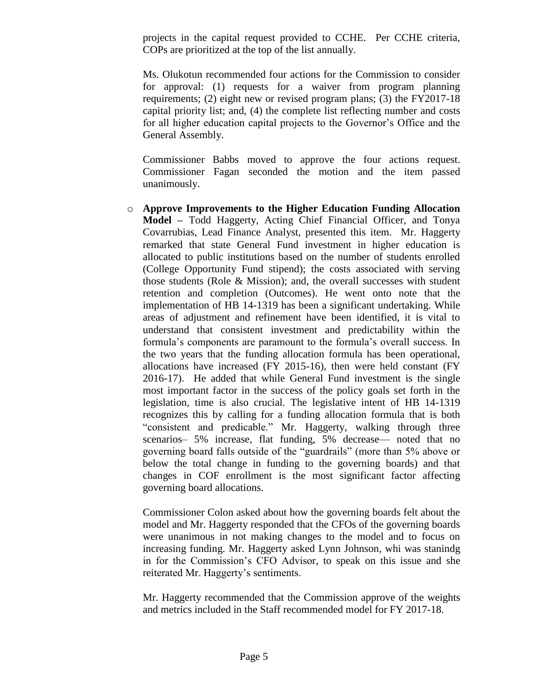projects in the capital request provided to CCHE. Per CCHE criteria, COPs are prioritized at the top of the list annually.

Ms. Olukotun recommended four actions for the Commission to consider for approval: (1) requests for a waiver from program planning requirements; (2) eight new or revised program plans; (3) the FY2017-18 capital priority list; and, (4) the complete list reflecting number and costs for all higher education capital projects to the Governor's Office and the General Assembly.

Commissioner Babbs moved to approve the four actions request. Commissioner Fagan seconded the motion and the item passed unanimously.

o **Approve Improvements to the Higher Education Funding Allocation Model –** Todd Haggerty, Acting Chief Financial Officer, and Tonya Covarrubias, Lead Finance Analyst, presented this item. Mr. Haggerty remarked that state General Fund investment in higher education is allocated to public institutions based on the number of students enrolled (College Opportunity Fund stipend); the costs associated with serving those students (Role & Mission); and, the overall successes with student retention and completion (Outcomes). He went onto note that the implementation of HB 14-1319 has been a significant undertaking. While areas of adjustment and refinement have been identified, it is vital to understand that consistent investment and predictability within the formula's components are paramount to the formula's overall success. In the two years that the funding allocation formula has been operational, allocations have increased (FY 2015-16), then were held constant (FY 2016-17). He added that while General Fund investment is the single most important factor in the success of the policy goals set forth in the legislation, time is also crucial. The legislative intent of HB 14-1319 recognizes this by calling for a funding allocation formula that is both "consistent and predicable." Mr. Haggerty, walking through three scenarios– 5% increase, flat funding, 5% decrease— noted that no governing board falls outside of the "guardrails" (more than 5% above or below the total change in funding to the governing boards) and that changes in COF enrollment is the most significant factor affecting governing board allocations.

Commissioner Colon asked about how the governing boards felt about the model and Mr. Haggerty responded that the CFOs of the governing boards were unanimous in not making changes to the model and to focus on increasing funding. Mr. Haggerty asked Lynn Johnson, whi was stanindg in for the Commission's CFO Advisor, to speak on this issue and she reiterated Mr. Haggerty's sentiments.

Mr. Haggerty recommended that the Commission approve of the weights and metrics included in the Staff recommended model for FY 2017-18.